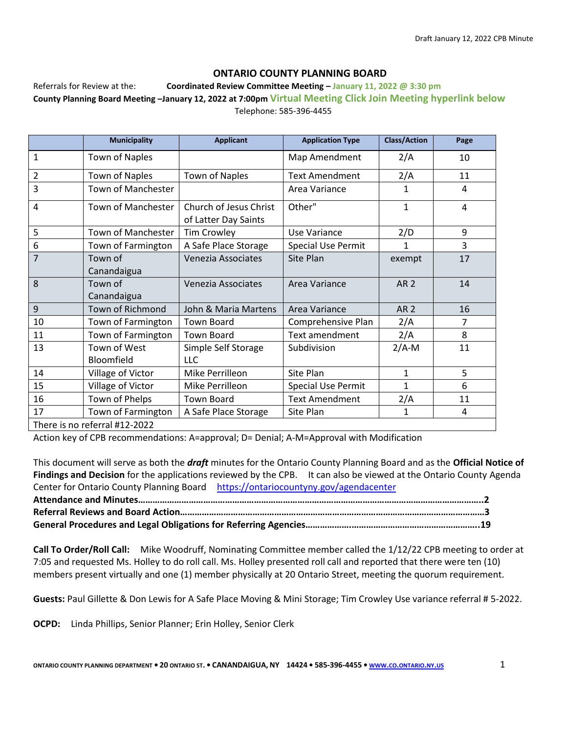#### **ONTARIO COUNTY PLANNING BOARD**

Referrals for Review at the: **Coordinated Review Committee Meeting – January 11, 2022 @ 3:30 pm County Planning Board Meeting –January 12, 2022 at 7:00pm Virtual Meeting Click Join Meeting hyperlink below** Telephone: 585-396-4455

|                | <b>Municipality</b>               | <b>Applicant</b>                               | <b>Application Type</b>   | <b>Class/Action</b> | Page           |
|----------------|-----------------------------------|------------------------------------------------|---------------------------|---------------------|----------------|
| 1              | Town of Naples                    |                                                | Map Amendment             | 2/A                 | 10             |
| 2              | <b>Town of Naples</b>             | <b>Town of Naples</b>                          | <b>Text Amendment</b>     | 2/A                 | 11             |
| 3              | Town of Manchester                |                                                | Area Variance             | 1                   | 4              |
| 4              | Town of Manchester                | Church of Jesus Christ<br>of Latter Day Saints | Other"                    | $\mathbf{1}$        | 4              |
| 5              | Town of Manchester                | <b>Tim Crowley</b>                             | Use Variance              | 2/D                 | 9              |
| 6              | Town of Farmington                | A Safe Place Storage                           | <b>Special Use Permit</b> | 1                   | 3              |
| $\overline{7}$ | Town of<br>Canandaigua            | Venezia Associates                             | Site Plan                 | exempt              | 17             |
| 8              | Town of<br>Canandaigua            | Venezia Associates                             | Area Variance             | <b>AR2</b>          | 14             |
| 9              | Town of Richmond                  | John & Maria Martens                           | Area Variance             | <b>AR2</b>          | 16             |
| 10             | Town of Farmington                | <b>Town Board</b>                              | Comprehensive Plan        | 2/A                 | $\overline{7}$ |
| 11             | Town of Farmington                | <b>Town Board</b>                              | Text amendment            | 2/A                 | 8              |
| 13             | Town of West<br><b>Bloomfield</b> | Simple Self Storage<br><b>LLC</b>              | Subdivision               | $2/A-M$             | 11             |
| 14             | Village of Victor                 | Mike Perrilleon                                | Site Plan                 | $\mathbf{1}$        | 5              |
| 15             | Village of Victor                 | Mike Perrilleon                                | <b>Special Use Permit</b> | $\mathbf{1}$        | 6              |
| 16             | Town of Phelps                    | <b>Town Board</b>                              | <b>Text Amendment</b>     | 2/A                 | 11             |
| 17             | Town of Farmington                | A Safe Place Storage                           | Site Plan                 | $\mathbf{1}$        | 4              |
|                | There is no referral #12-2022     |                                                |                           |                     |                |

Action key of CPB recommendations: A=approval; D= Denial; A-M=Approval with Modification

This document will serve as both the *draft* minutes for the Ontario County Planning Board and as the **Official Notice of Findings and Decision** for the applications reviewed by the CPB. It can also be viewed at the Ontario County Agenda Center for Ontario County Planning Board <https://ontariocountyny.gov/agendacenter> **Attendance and Minutes……………………………………………………………………………………………………………………………..2 Referral Reviews and Board Action………………………………………………………………………………………………………………3 General Procedures and Legal Obligations for Referring Agencies……………….……………………………………………..19**

**Call To Order/Roll Call:** Mike Woodruff, Nominating Committee member called the 1/12/22 CPB meeting to order at 7:05 and requested Ms. Holley to do roll call. Ms. Holley presented roll call and reported that there were ten (10) members present virtually and one (1) member physically at 20 Ontario Street, meeting the quorum requirement.

**Guests:** Paul Gillette & Don Lewis for A Safe Place Moving & Mini Storage; Tim Crowley Use variance referral # 5-2022.

**OCPD:** Linda Phillips, Senior Planner; Erin Holley, Senior Clerk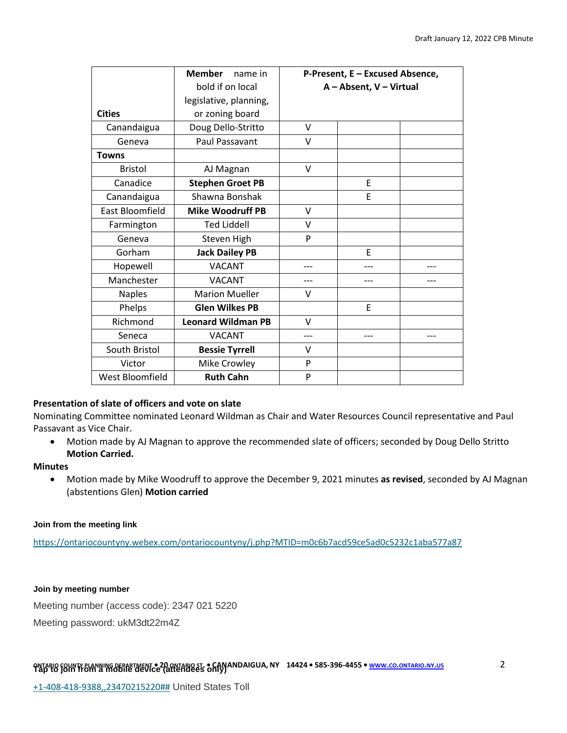|                        | <b>Member</b><br>name in  | P-Present, E - Excused Absence, |     |     |
|------------------------|---------------------------|---------------------------------|-----|-----|
|                        | bold if on local          | A - Absent, V - Virtual         |     |     |
|                        | legislative, planning,    |                                 |     |     |
| <b>Cities</b>          | or zoning board           |                                 |     |     |
| Canandaigua            | Doug Dello-Stritto        | v                               |     |     |
| Geneva                 | <b>Paul Passavant</b>     | V                               |     |     |
| <b>Towns</b>           |                           |                                 |     |     |
| <b>Bristol</b>         | AJ Magnan                 | V                               |     |     |
| Canadice               | <b>Stephen Groet PB</b>   |                                 | E   |     |
| Canandaigua            | Shawna Bonshak            |                                 | E   |     |
| East Bloomfield        | <b>Mike Woodruff PB</b>   | V                               |     |     |
| Farmington             | <b>Ted Liddell</b>        | V                               |     |     |
| Geneva                 | Steven High               | P                               |     |     |
| Gorham                 | <b>Jack Dailey PB</b>     |                                 | E   |     |
| Hopewell               | <b>VACANT</b>             |                                 |     |     |
| Manchester             | <b>VACANT</b>             | ---                             | --- | --- |
| <b>Naples</b>          | <b>Marion Mueller</b>     | v                               |     |     |
| Phelps                 | <b>Glen Wilkes PB</b>     |                                 | E   |     |
| Richmond               | <b>Leonard Wildman PB</b> | v                               |     |     |
| Seneca                 | <b>VACANT</b>             | ---                             |     |     |
| South Bristol          | <b>Bessie Tyrrell</b>     | v                               |     |     |
| Victor                 | Mike Crowley              | P                               |     |     |
| <b>West Bloomfield</b> | <b>Ruth Cahn</b>          | P                               |     |     |

# **Presentation of slate of officers and vote on slate**

Nominating Committee nominated Leonard Wildman as Chair and Water Resources Council representative and Paul Passavant as Vice Chair.

• Motion made by AJ Magnan to approve the recommended slate of officers; seconded by Doug Dello Stritto **Motion Carried.** 

#### **Minutes**

• Motion made by Mike Woodruff to approve the December 9, 2021 minutes **as revised**, seconded by AJ Magnan (abstentions Glen) **Motion carried**

#### **Join from the meeting link**

<https://ontariocountyny.webex.com/ontariocountyny/j.php?MTID=m0c6b7acd59ce5ad0c5232c1aba577a87>

#### **Join by meeting number**

Meeting number (access code): 2347 021 5220

Meeting password: ukM3dt22m4Z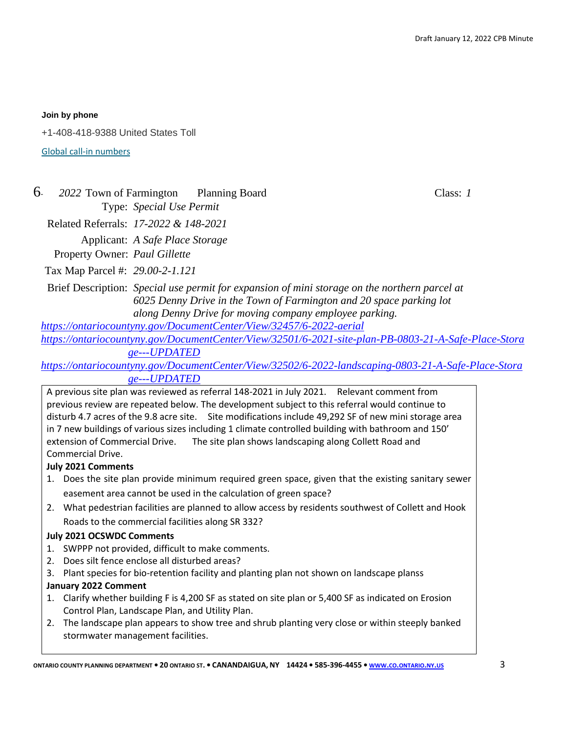#### **Join by phone**

+1-408-418-9388 United States Toll

[Global call-in numbers](https://ontariocountyny.webex.com/ontariocountyny/globalcallin.php?MTID=m3398c5f74f1043713c4cd36d2deac8d3)

# 6- *2022* Town of Farmington Planning Board Class: *1* Type: *Special Use Permit*

Related Referrals: *17-2022 & 148-2021*

Applicant: *A Safe Place Storage*

Property Owner: *Paul Gillette*

Tax Map Parcel #: *29.00-2-1.121*

Brief Description: *Special use permit for expansion of mini storage on the northern parcel at 6025 Denny Drive in the Town of Farmington and 20 space parking lot along Denny Drive for moving company employee parking.*

*<https://ontariocountyny.gov/DocumentCenter/View/32457/6-2022-aerial>*

*[https://ontariocountyny.gov/DocumentCenter/View/32501/6-2021-site-plan-PB-0803-21-A-Safe-Place-Stora](https://ontariocountyny.gov/DocumentCenter/View/32501/6-2021-site-plan-PB-0803-21-A-Safe-Place-Storage---UPDATED) [ge---UPDATED](https://ontariocountyny.gov/DocumentCenter/View/32501/6-2021-site-plan-PB-0803-21-A-Safe-Place-Storage---UPDATED)*

*[https://ontariocountyny.gov/DocumentCenter/View/32502/6-2022-landscaping-0803-21-A-Safe-Place-Stora](https://ontariocountyny.gov/DocumentCenter/View/32502/6-2022-landscaping-0803-21-A-Safe-Place-Storage---UPDATED) [ge---UPDATED](https://ontariocountyny.gov/DocumentCenter/View/32502/6-2022-landscaping-0803-21-A-Safe-Place-Storage---UPDATED)*

A previous site plan was reviewed as referral 148-2021 in July 2021. Relevant comment from previous review are repeated below. The development subject to this referral would continue to disturb 4.7 acres of the 9.8 acre site. Site modifications include 49,292 SF of new mini storage area in 7 new buildings of various sizes including 1 climate controlled building with bathroom and 150' extension of Commercial Drive. The site plan shows landscaping along Collett Road and Commercial Drive.

# **July 2021 Comments**

- 1. Does the site plan provide minimum required green space, given that the existing sanitary sewer easement area cannot be used in the calculation of green space?
- 2. What pedestrian facilities are planned to allow access by residents southwest of Collett and Hook Roads to the commercial facilities along SR 332?

#### **July 2021 OCSWDC Comments**

- 1. SWPPP not provided, difficult to make comments.
- 2. Does silt fence enclose all disturbed areas?
- 3. Plant species for bio-retention facility and planting plan not shown on landscape planss

#### **January 2022 Comment**

- 1. Clarify whether building F is 4,200 SF as stated on site plan or 5,400 SF as indicated on Erosion Control Plan, Landscape Plan, and Utility Plan.
- 2. The landscape plan appears to show tree and shrub planting very close or within steeply banked stormwater management facilities.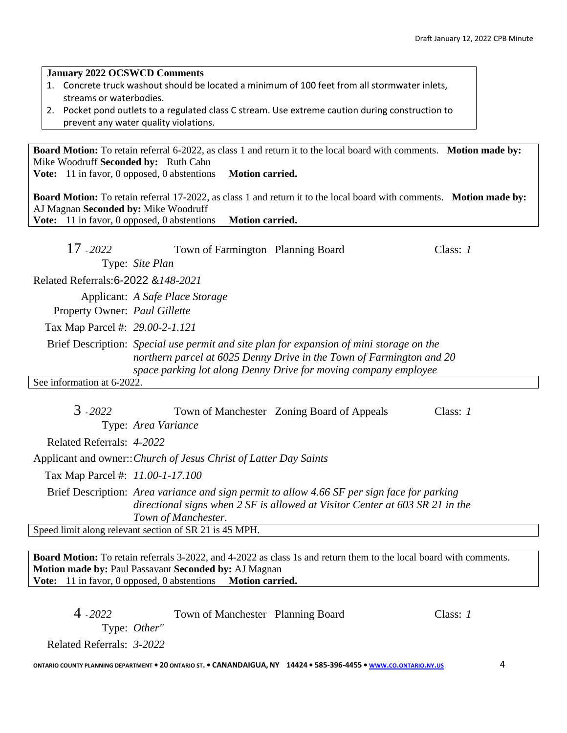| 2. Pocket pond outlets to a regulated class C stream. Use extreme caution during construction to<br>prevent any water quality violations.                                                                                                   |  |
|---------------------------------------------------------------------------------------------------------------------------------------------------------------------------------------------------------------------------------------------|--|
| <b>Board Motion:</b> To retain referral 6-2022, as class 1 and return it to the local board with comments. Motion made by:<br>Mike Woodruff Seconded by: Ruth Cahn<br><b>Vote:</b> 11 in favor, 0 opposed, 0 abstentions<br>Motion carried. |  |
| <b>Board Motion:</b> To retain referral 17-2022, as class 1 and return it to the local board with comments. Motion made by:<br>AJ Magnan Seconded by: Mike Woodruff<br>Vote: 11 in favor, 0 opposed, 0 abstentions<br>Motion carried.       |  |
| 17 - 2022<br>Town of Farmington Planning Board<br>Class: $1$<br>Type: Site Plan                                                                                                                                                             |  |
| Related Referrals: 6-2022 & 148-2021                                                                                                                                                                                                        |  |
| Applicant: A Safe Place Storage                                                                                                                                                                                                             |  |
| Property Owner: Paul Gillette                                                                                                                                                                                                               |  |
| Tax Map Parcel #: 29.00-2-1.121                                                                                                                                                                                                             |  |
| Brief Description: Special use permit and site plan for expansion of mini storage on the<br>northern parcel at 6025 Denny Drive in the Town of Farmington and 20<br>space parking lot along Denny Drive for moving company employee         |  |
| See information at 6-2022.                                                                                                                                                                                                                  |  |
| $3 - 2022$<br>Town of Manchester Zoning Board of Appeals<br>Class: $1$<br>Type: Area Variance                                                                                                                                               |  |
| Related Referrals: 4-2022                                                                                                                                                                                                                   |  |
| Applicant and owner:: Church of Jesus Christ of Latter Day Saints                                                                                                                                                                           |  |
| Tax Map Parcel #: 11.00-1-17.100                                                                                                                                                                                                            |  |

1. Concrete truck washout should be located a minimum of 100 feet from all stormwater inlets,

Brief Description: *Area variance and sign permit to allow 4.66 SF per sign face for parking directional signs when 2 SF is allowed at Visitor Center at 603 SR 21 in the Town of Manchester.*

Speed limit along relevant section of SR 21 is 45 MPH.

**January 2022 OCSWCD Comments**

streams or waterbodies.

**Board Motion:** To retain referrals 3-2022, and 4-2022 as class 1s and return them to the local board with comments. **Motion made by:** Paul Passavant **Seconded by:** AJ Magnan **Vote:** 11 in favor, 0 opposed, 0 abstentions **Motion carried.**

| $4 - 2022$                | Town of Manchester Planning Board | Class: 1 |
|---------------------------|-----------------------------------|----------|
| Type: <i>Other</i> "      |                                   |          |
| Related Referrals: 3-2022 |                                   |          |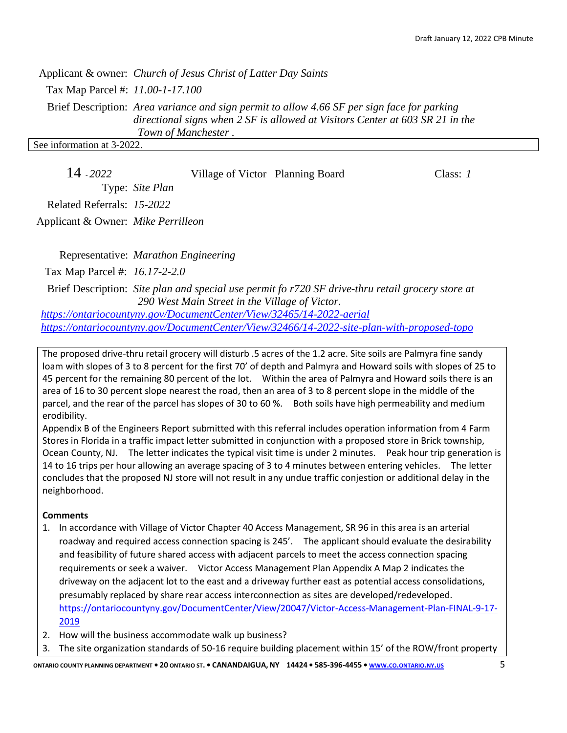Applicant & owner: *Church of Jesus Christ of Latter Day Saints* Tax Map Parcel #: *11.00-1-17.100* Brief Description: *Area variance and sign permit to allow 4.66 SF per sign face for parking directional signs when 2 SF is allowed at Visitors Center at 603 SR 21 in the Town of Manchester .* See information at 3-2022.

| 14 2022                    | Village of Victor Planning Board | Class: 1 |
|----------------------------|----------------------------------|----------|
| Type: Site Plan            |                                  |          |
| Related Referrals: 15-2022 |                                  |          |

Applicant & Owner: *Mike Perrilleon*

Representative: *Marathon Engineering* Tax Map Parcel #: *16.17-2-2.0* Brief Description: *Site plan and special use permit fo r720 SF drive-thru retail grocery store at*

*290 West Main Street in the Village of Victor. <https://ontariocountyny.gov/DocumentCenter/View/32465/14-2022-aerial> <https://ontariocountyny.gov/DocumentCenter/View/32466/14-2022-site-plan-with-proposed-topo>*

The proposed drive-thru retail grocery will disturb .5 acres of the 1.2 acre. Site soils are Palmyra fine sandy loam with slopes of 3 to 8 percent for the first 70' of depth and Palmyra and Howard soils with slopes of 25 to 45 percent for the remaining 80 percent of the lot. Within the area of Palmyra and Howard soils there is an area of 16 to 30 percent slope nearest the road, then an area of 3 to 8 percent slope in the middle of the parcel, and the rear of the parcel has slopes of 30 to 60 %. Both soils have high permeability and medium erodibility.

Appendix B of the Engineers Report submitted with this referral includes operation information from 4 Farm Stores in Florida in a traffic impact letter submitted in conjunction with a proposed store in Brick township, Ocean County, NJ. The letter indicates the typical visit time is under 2 minutes. Peak hour trip generation is 14 to 16 trips per hour allowing an average spacing of 3 to 4 minutes between entering vehicles. The letter concludes that the proposed NJ store will not result in any undue traffic conjestion or additional delay in the neighborhood.

# **Comments**

- 1. In accordance with Village of Victor Chapter 40 Access Management, SR 96 in this area is an arterial roadway and required access connection spacing is 245'. The applicant should evaluate the desirability and feasibility of future shared access with adjacent parcels to meet the access connection spacing requirements or seek a waiver. Victor Access Management Plan Appendix A Map 2 indicates the driveway on the adjacent lot to the east and a driveway further east as potential access consolidations, presumably replaced by share rear access interconnection as sites are developed/redeveloped. [https://ontariocountyny.gov/DocumentCenter/View/20047/Victor-Access-Management-Plan-FINAL-9-17-](https://ontariocountyny.gov/DocumentCenter/View/20047/Victor-Access-Management-Plan-FINAL-9-17-2019) [2019](https://ontariocountyny.gov/DocumentCenter/View/20047/Victor-Access-Management-Plan-FINAL-9-17-2019)
- 2. How will the business accommodate walk up business?
- 3. The site organization standards of 50-16 require building placement within 15' of the ROW/front property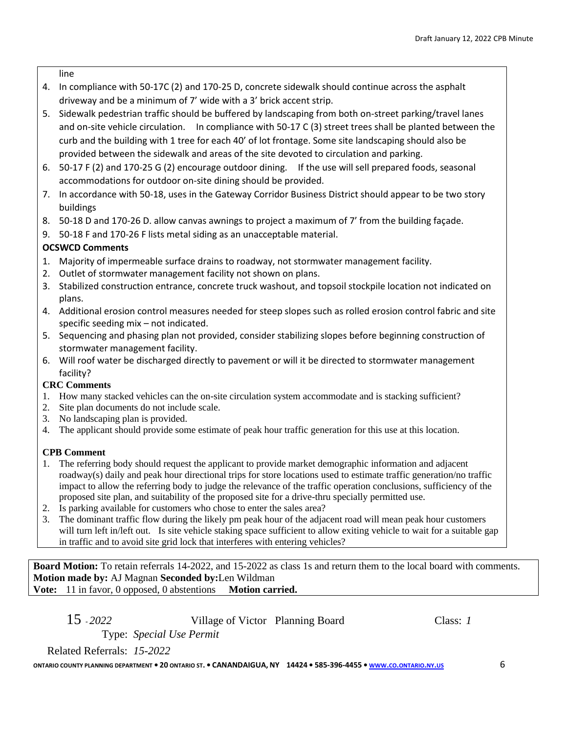line

- 4. In compliance with 50-17C (2) and 170-25 D, concrete sidewalk should continue across the asphalt driveway and be a minimum of 7' wide with a 3' brick accent strip.
- 5. Sidewalk pedestrian traffic should be buffered by landscaping from both on-street parking/travel lanes and on-site vehicle circulation. In compliance with 50-17 C (3) street trees shall be planted between the curb and the building with 1 tree for each 40' of lot frontage. Some site landscaping should also be provided between the sidewalk and areas of the site devoted to circulation and parking.
- 6. 50-17 F (2) and 170-25 G (2) encourage outdoor dining. If the use will sell prepared foods, seasonal accommodations for outdoor on-site dining should be provided.
- 7. In accordance with 50-18, uses in the Gateway Corridor Business District should appear to be two story buildings
- 8. 50-18 D and 170-26 D. allow canvas awnings to project a maximum of 7' from the building façade.
- 9. 50-18 F and 170-26 F lists metal siding as an unacceptable material.

# **OCSWCD Comments**

- 1. Majority of impermeable surface drains to roadway, not stormwater management facility.
- 2. Outlet of stormwater management facility not shown on plans.
- 3. Stabilized construction entrance, concrete truck washout, and topsoil stockpile location not indicated on plans.
- 4. Additional erosion control measures needed for steep slopes such as rolled erosion control fabric and site specific seeding mix – not indicated.
- 5. Sequencing and phasing plan not provided, consider stabilizing slopes before beginning construction of stormwater management facility.
- 6. Will roof water be discharged directly to pavement or will it be directed to stormwater management facility?

# **CRC Comments**

- 1. How many stacked vehicles can the on-site circulation system accommodate and is stacking sufficient?
- 2. Site plan documents do not include scale.
- 3. No landscaping plan is provided.
- 4. The applicant should provide some estimate of peak hour traffic generation for this use at this location.

# **CPB Comment**

- 1. The referring body should request the applicant to provide market demographic information and adjacent roadway(s) daily and peak hour directional trips for store locations used to estimate traffic generation/no traffic impact to allow the referring body to judge the relevance of the traffic operation conclusions, sufficiency of the proposed site plan, and suitability of the proposed site for a drive-thru specially permitted use.
- 2. Is parking available for customers who chose to enter the sales area?
- 3. The dominant traffic flow during the likely pm peak hour of the adjacent road will mean peak hour customers will turn left in/left out. Is site vehicle staking space sufficient to allow exiting vehicle to wait for a suitable gap in traffic and to avoid site grid lock that interferes with entering vehicles?

**Board Motion:** To retain referrals 14-2022, and 15-2022 as class 1s and return them to the local board with comments. **Motion made by:** AJ Magnan **Seconded by:**Len Wildman **Vote:** 11 in favor, 0 opposed, 0 abstentions **Motion carried.** 

15 - *2022* Village of Victor Planning Board Class: *1* Type: *Special Use Permit*

Related Referrals: *15-2022*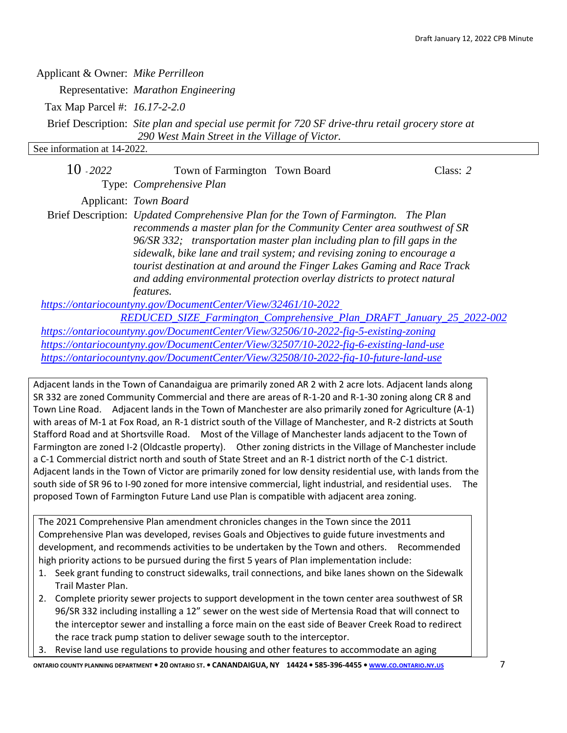| Applicant & Owner: Mike Perrilleon                                                    |                                                                                                                                                                                                                                                                                                                                                                                                                                                                                                  |  |            |  |  |  |
|---------------------------------------------------------------------------------------|--------------------------------------------------------------------------------------------------------------------------------------------------------------------------------------------------------------------------------------------------------------------------------------------------------------------------------------------------------------------------------------------------------------------------------------------------------------------------------------------------|--|------------|--|--|--|
|                                                                                       | Representative: Marathon Engineering                                                                                                                                                                                                                                                                                                                                                                                                                                                             |  |            |  |  |  |
| Tax Map Parcel #: 16.17-2-2.0                                                         |                                                                                                                                                                                                                                                                                                                                                                                                                                                                                                  |  |            |  |  |  |
|                                                                                       | Brief Description: Site plan and special use permit for 720 SF drive-thru retail grocery store at<br>290 West Main Street in the Village of Victor.                                                                                                                                                                                                                                                                                                                                              |  |            |  |  |  |
| See information at 14-2022.                                                           |                                                                                                                                                                                                                                                                                                                                                                                                                                                                                                  |  |            |  |  |  |
| $10 - 2022$                                                                           | Town of Farmington Town Board<br>Type: Comprehensive Plan                                                                                                                                                                                                                                                                                                                                                                                                                                        |  | Class: $2$ |  |  |  |
|                                                                                       |                                                                                                                                                                                                                                                                                                                                                                                                                                                                                                  |  |            |  |  |  |
|                                                                                       | Applicant: Town Board                                                                                                                                                                                                                                                                                                                                                                                                                                                                            |  |            |  |  |  |
|                                                                                       | Brief Description: Updated Comprehensive Plan for the Town of Farmington. The Plan<br>recommends a master plan for the Community Center area southwest of SR<br>96/SR 332; transportation master plan including plan to fill gaps in the<br>sidewalk, bike lane and trail system; and revising zoning to encourage a<br>tourist destination at and around the Finger Lakes Gaming and Race Track<br>and adding environmental protection overlay districts to protect natural<br><i>features.</i> |  |            |  |  |  |
|                                                                                       | https://ontariocountyny.gov/DocumentCenter/View/32461/10-2022                                                                                                                                                                                                                                                                                                                                                                                                                                    |  |            |  |  |  |
|                                                                                       | REDUCED SIZE Farmington Comprehensive Plan DRAFT January 25 2022-002                                                                                                                                                                                                                                                                                                                                                                                                                             |  |            |  |  |  |
| https://ontariocountyny.gov/DocumentCenter/View/32506/10-2022-fig-5-existing-zoning   |                                                                                                                                                                                                                                                                                                                                                                                                                                                                                                  |  |            |  |  |  |
| https://ontariocountyny.gov/DocumentCenter/View/32507/10-2022-fig-6-existing-land-use |                                                                                                                                                                                                                                                                                                                                                                                                                                                                                                  |  |            |  |  |  |
|                                                                                       | https://ontariocountyny.gov/DocumentCenter/View/32508/10-2022-fig-10-future-land-use                                                                                                                                                                                                                                                                                                                                                                                                             |  |            |  |  |  |

Adjacent lands in the Town of Canandaigua are primarily zoned AR 2 with 2 acre lots. Adjacent lands along SR 332 are zoned Community Commercial and there are areas of R-1-20 and R-1-30 zoning along CR 8 and Town Line Road. Adjacent lands in the Town of Manchester are also primarily zoned for Agriculture (A-1) with areas of M-1 at Fox Road, an R-1 district south of the Village of Manchester, and R-2 districts at South Stafford Road and at Shortsville Road. Most of the Village of Manchester lands adjacent to the Town of Farmington are zoned I-2 (Oldcastle property). Other zoning districts in the Village of Manchester include a C-1 Commercial district north and south of State Street and an R-1 district north of the C-1 district. Adjacent lands in the Town of Victor are primarily zoned for low density residential use, with lands from the south side of SR 96 to I-90 zoned for more intensive commercial, light industrial, and residential uses. The proposed Town of Farmington Future Land use Plan is compatible with adjacent area zoning.

The 2021 Comprehensive Plan amendment chronicles changes in the Town since the 2011 Comprehensive Plan was developed, revises Goals and Objectives to guide future investments and development, and recommends activities to be undertaken by the Town and others. Recommended high priority actions to be pursued during the first 5 years of Plan implementation include:

- 1. Seek grant funding to construct sidewalks, trail connections, and bike lanes shown on the Sidewalk Trail Master Plan.
- 2. Complete priority sewer projects to support development in the town center area southwest of SR 96/SR 332 including installing a 12" sewer on the west side of Mertensia Road that will connect to the interceptor sewer and installing a force main on the east side of Beaver Creek Road to redirect the race track pump station to deliver sewage south to the interceptor.
- 3. Revise land use regulations to provide housing and other features to accommodate an aging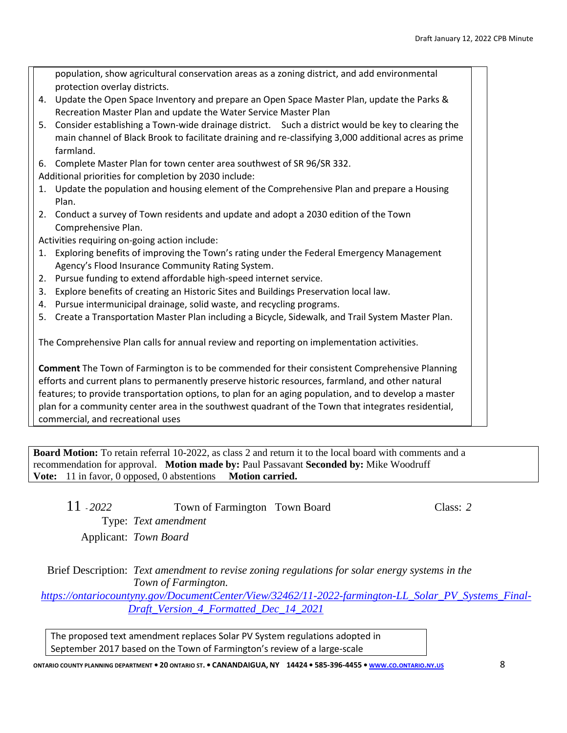|    | population, show agricultural conservation areas as a zoning district, and add environmental          |  |  |  |  |  |
|----|-------------------------------------------------------------------------------------------------------|--|--|--|--|--|
|    | protection overlay districts.                                                                         |  |  |  |  |  |
|    | 4. Update the Open Space Inventory and prepare an Open Space Master Plan, update the Parks &          |  |  |  |  |  |
|    | Recreation Master Plan and update the Water Service Master Plan                                       |  |  |  |  |  |
|    | 5. Consider establishing a Town-wide drainage district. Such a district would be key to clearing the  |  |  |  |  |  |
|    | main channel of Black Brook to facilitate draining and re-classifying 3,000 additional acres as prime |  |  |  |  |  |
|    | farmland.                                                                                             |  |  |  |  |  |
|    | 6. Complete Master Plan for town center area southwest of SR 96/SR 332.                               |  |  |  |  |  |
|    | Additional priorities for completion by 2030 include:                                                 |  |  |  |  |  |
|    | 1. Update the population and housing element of the Comprehensive Plan and prepare a Housing          |  |  |  |  |  |
|    | Plan.                                                                                                 |  |  |  |  |  |
|    | 2. Conduct a survey of Town residents and update and adopt a 2030 edition of the Town                 |  |  |  |  |  |
|    | Comprehensive Plan.                                                                                   |  |  |  |  |  |
|    | Activities requiring on-going action include:                                                         |  |  |  |  |  |
|    | 1. Exploring benefits of improving the Town's rating under the Federal Emergency Management           |  |  |  |  |  |
|    | Agency's Flood Insurance Community Rating System.                                                     |  |  |  |  |  |
| 2. | Pursue funding to extend affordable high-speed internet service.                                      |  |  |  |  |  |
|    | 3. Explore benefits of creating an Historic Sites and Buildings Preservation local law.               |  |  |  |  |  |
|    | 4. Pursue intermunicipal drainage, solid waste, and recycling programs.                               |  |  |  |  |  |
|    | 5. Create a Transportation Master Plan including a Bicycle, Sidewalk, and Trail System Master Plan.   |  |  |  |  |  |
|    |                                                                                                       |  |  |  |  |  |
|    | The Comprehensive Plan calls for annual review and reporting on implementation activities.            |  |  |  |  |  |
|    |                                                                                                       |  |  |  |  |  |
|    | Comment The Town of Farmington is to be commended for their consistent Comprehensive Planning         |  |  |  |  |  |
|    | efforts and current plans to permanently preserve historic resources, farmland, and other natural     |  |  |  |  |  |
|    | features; to provide transportation options, to plan for an aging population, and to develop a master |  |  |  |  |  |
|    | plan for a community center area in the southwest quadrant of the Town that integrates residential,   |  |  |  |  |  |

commercial, and recreational uses

**Board Motion:** To retain referral 10-2022, as class 2 and return it to the local board with comments and a recommendation for approval. **Motion made by:** Paul Passavant **Seconded by:** Mike Woodruff Vote: 11 in favor, 0 opposed, 0 abstentions Motion carried.

| $11 - 2022$ | Town of Farmington Town Board | Class: 2 |
|-------------|-------------------------------|----------|
|             | Type: Text amendment          |          |
|             | Applicant: Town Board         |          |

Brief Description: *Text amendment to revise zoning regulations for solar energy systems in the Town of Farmington.*

*[https://ontariocountyny.gov/DocumentCenter/View/32462/11-2022-farmington-LL\\_Solar\\_PV\\_Systems\\_Final-](https://ontariocountyny.gov/DocumentCenter/View/32462/11-2022-farmington-LL_Solar_PV_Systems_Final-Draft_Version_4_Formatted_Dec_14_2021)[Draft\\_Version\\_4\\_Formatted\\_Dec\\_14\\_2021](https://ontariocountyny.gov/DocumentCenter/View/32462/11-2022-farmington-LL_Solar_PV_Systems_Final-Draft_Version_4_Formatted_Dec_14_2021)*

The proposed text amendment replaces Solar PV System regulations adopted in September 2017 based on the Town of Farmington's review of a large-scale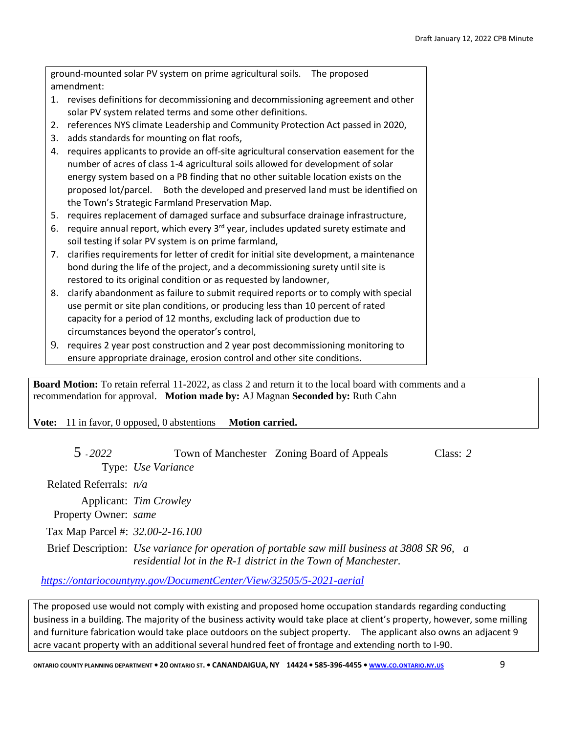ground-mounted solar PV system on prime agricultural soils. The proposed amendment:

- 1. revises definitions for decommissioning and decommissioning agreement and other solar PV system related terms and some other definitions.
- 2. references NYS climate Leadership and Community Protection Act passed in 2020,
- 3. adds standards for mounting on flat roofs,
- 4. requires applicants to provide an off-site agricultural conservation easement for the number of acres of class 1-4 agricultural soils allowed for development of solar energy system based on a PB finding that no other suitable location exists on the proposed lot/parcel. Both the developed and preserved land must be identified on the Town's Strategic Farmland Preservation Map.
- 5. requires replacement of damaged surface and subsurface drainage infrastructure,
- 6. require annual report, which every  $3<sup>rd</sup>$  year, includes updated surety estimate and soil testing if solar PV system is on prime farmland,
- 7. clarifies requirements for letter of credit for initial site development, a maintenance bond during the life of the project, and a decommissioning surety until site is restored to its original condition or as requested by landowner,
- 8. clarify abandonment as failure to submit required reports or to comply with special use permit or site plan conditions, or producing less than 10 percent of rated capacity for a period of 12 months, excluding lack of production due to circumstances beyond the operator's control,
- 9. requires 2 year post construction and 2 year post decommissioning monitoring to ensure appropriate drainage, erosion control and other site conditions.

**Board Motion:** To retain referral 11-2022, as class 2 and return it to the local board with comments and a recommendation for approval. **Motion made by:** AJ Magnan **Seconded by:** Ruth Cahn

**Vote:** 11 in favor, 0 opposed, 0 abstentions **Motion carried.**

5 - *2022* Town of Manchester Zoning Board of Appeals Class: *2* Type: *Use Variance*

Related Referrals: *n/a*

Applicant: *Tim Crowley*

Property Owner: *same*

Tax Map Parcel #: *32.00-2-16.100*

Brief Description: *Use variance for operation of portable saw mill business at 3808 SR 96, a residential lot in the R-1 district in the Town of Manchester.*

# *<https://ontariocountyny.gov/DocumentCenter/View/32505/5-2021-aerial>*

The proposed use would not comply with existing and proposed home occupation standards regarding conducting business in a building. The majority of the business activity would take place at client's property, however, some milling and furniture fabrication would take place outdoors on the subject property. The applicant also owns an adjacent 9 acre vacant property with an additional several hundred feet of frontage and extending north to I-90.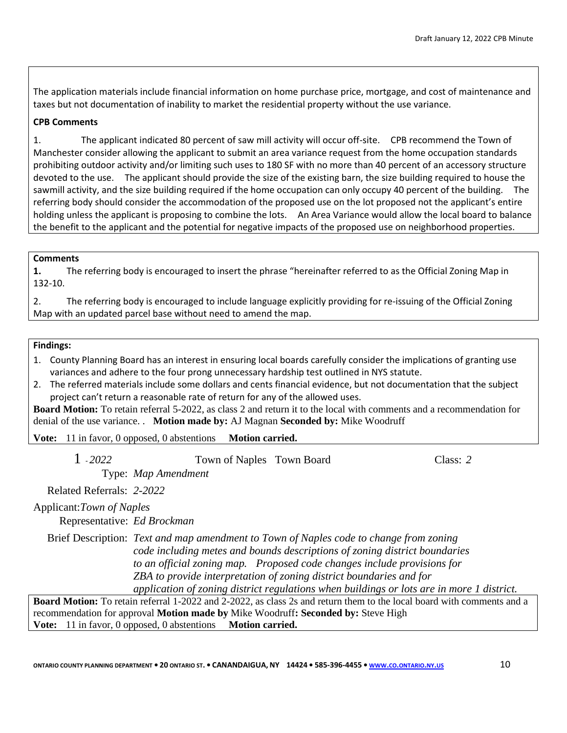The application materials include financial information on home purchase price, mortgage, and cost of maintenance and taxes but not documentation of inability to market the residential property without the use variance.

# **CPB Comments**

1. The applicant indicated 80 percent of saw mill activity will occur off-site. CPB recommend the Town of Manchester consider allowing the applicant to submit an area variance request from the home occupation standards prohibiting outdoor activity and/or limiting such uses to 180 SF with no more than 40 percent of an accessory structure devoted to the use. The applicant should provide the size of the existing barn, the size building required to house the sawmill activity, and the size building required if the home occupation can only occupy 40 percent of the building. The referring body should consider the accommodation of the proposed use on the lot proposed not the applicant's entire holding unless the applicant is proposing to combine the lots. An Area Variance would allow the local board to balance the benefit to the applicant and the potential for negative impacts of the proposed use on neighborhood properties.

#### **Comments**

**1.** The referring body is encouraged to insert the phrase "hereinafter referred to as the Official Zoning Map in 132-10.

2. The referring body is encouraged to include language explicitly providing for re-issuing of the Official Zoning Map with an updated parcel base without need to amend the map.

#### **Findings:**

- 1. County Planning Board has an interest in ensuring local boards carefully consider the implications of granting use variances and adhere to the four prong unnecessary hardship test outlined in NYS statute.
- 2. The referred materials include some dollars and cents financial evidence, but not documentation that the subject project can't return a reasonable rate of return for any of the allowed uses.

**Board Motion:** To retain referral 5-2022, as class 2 and return it to the local with comments and a recommendation for denial of the use variance. . **Motion made by:** AJ Magnan **Seconded by:** Mike Woodruff

**Vote:** 11 in favor, 0 opposed, 0 abstentions **Motion carried.**

1 - *2022* Town of Naples Town Board Class: *2*

Type: *Map Amendment*

Related Referrals: *2-2022*

Applicant:*Town of Naples*

Representative: *Ed Brockman*

Brief Description: *Text and map amendment to Town of Naples code to change from zoning code including metes and bounds descriptions of zoning district boundaries to an official zoning map. Proposed code changes include provisions for ZBA to provide interpretation of zoning district boundaries and for application of zoning district regulations when buildings or lots are in more 1 district.*

**Board Motion:** To retain referral 1-2022 and 2-2022, as class 2s and return them to the local board with comments and a recommendation for approval **Motion made by** Mike Woodruff**: Seconded by:** Steve High **Vote:** 11 in favor, 0 opposed, 0 abstentions **Motion carried.**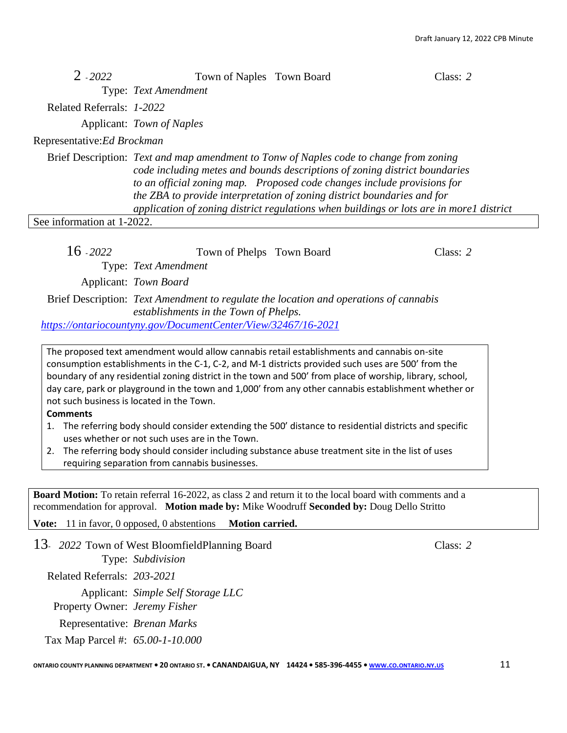| $2 - 2022$                  | Town of Naples Town Board                                                                                                                                                                                                                                                                                                                                                                                             |  | Class: $2$ |  |  |
|-----------------------------|-----------------------------------------------------------------------------------------------------------------------------------------------------------------------------------------------------------------------------------------------------------------------------------------------------------------------------------------------------------------------------------------------------------------------|--|------------|--|--|
|                             | Type: Text Amendment                                                                                                                                                                                                                                                                                                                                                                                                  |  |            |  |  |
| Related Referrals: 1-2022   |                                                                                                                                                                                                                                                                                                                                                                                                                       |  |            |  |  |
|                             | Applicant: Town of Naples                                                                                                                                                                                                                                                                                                                                                                                             |  |            |  |  |
| Representative: Ed Brockman |                                                                                                                                                                                                                                                                                                                                                                                                                       |  |            |  |  |
|                             | Brief Description: Text and map amendment to Tonw of Naples code to change from zoning<br>code including metes and bounds descriptions of zoning district boundaries<br>to an official zoning map. Proposed code changes include provisions for<br>the ZBA to provide interpretation of zoning district boundaries and for<br>application of zoning district regulations when buildings or lots are in morel district |  |            |  |  |
| See information at 1-2022.  |                                                                                                                                                                                                                                                                                                                                                                                                                       |  |            |  |  |
| $16 - 2022$                 | Town of Phelps Town Board<br>Type: Text Amendment                                                                                                                                                                                                                                                                                                                                                                     |  | Class: 2   |  |  |
|                             | Applicant: Town Board                                                                                                                                                                                                                                                                                                                                                                                                 |  |            |  |  |
|                             | Brief Description: Text Amendment to regulate the location and operations of cannabis<br>establishments in the Town of Phelps.                                                                                                                                                                                                                                                                                        |  |            |  |  |
|                             | https://ontariocountyny.gov/DocumentCenter/View/32467/16-2021                                                                                                                                                                                                                                                                                                                                                         |  |            |  |  |

The proposed text amendment would allow cannabis retail establishments and cannabis on-site consumption establishments in the C-1, C-2, and M-1 districts provided such uses are 500' from the boundary of any residential zoning district in the town and 500' from place of worship, library, school, day care, park or playground in the town and 1,000' from any other cannabis establishment whether or not such business is located in the Town.

#### **Comments**

- 1. The referring body should consider extending the 500' distance to residential districts and specific uses whether or not such uses are in the Town.
- 2. The referring body should consider including substance abuse treatment site in the list of uses requiring separation from cannabis businesses.

**Board Motion:** To retain referral 16-2022, as class 2 and return it to the local board with comments and a recommendation for approval. **Motion made by:** Mike Woodruff **Seconded by:** Doug Dello Stritto

**Vote:** 11 in favor, 0 opposed, 0 abstentions **Motion carried.**

13- *2022* Town of West BloomfieldPlanning Board Class: *2* Type: *Subdivision* Related Referrals: *203-2021* Applicant: *Simple Self Storage LLC* Property Owner: *Jeremy Fisher* Representative: *Brenan Marks* Tax Map Parcel #: *65.00-1-10.000*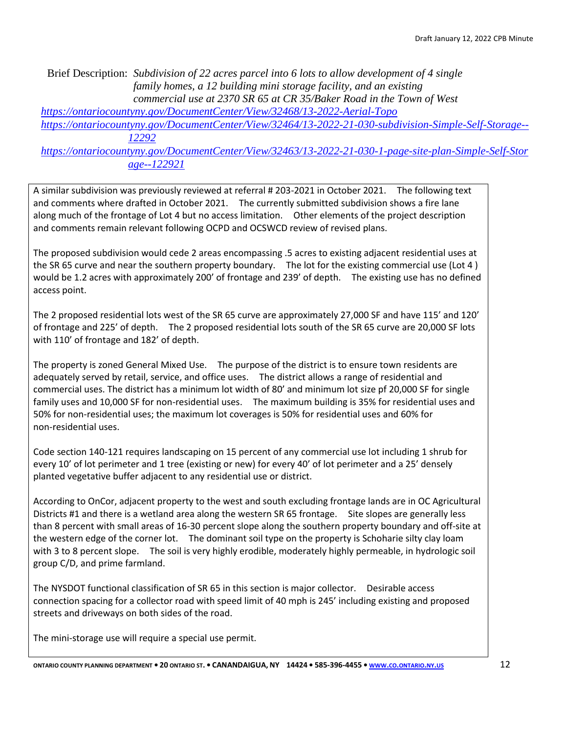Brief Description: *Subdivision of 22 acres parcel into 6 lots to allow development of 4 single family homes, a 12 building mini storage facility, and an existing commercial use at 2370 SR 65 at CR 35/Baker Road in the Town of West* 

*<https://ontariocountyny.gov/DocumentCenter/View/32468/13-2022-Aerial-Topo>*

*[https://ontariocountyny.gov/DocumentCenter/View/32464/13-2022-21-030-subdivision-Simple-Self-Storage--](https://ontariocountyny.gov/DocumentCenter/View/32464/13-2022-21-030-subdivision-Simple-Self-Storage--12292) [12292](https://ontariocountyny.gov/DocumentCenter/View/32464/13-2022-21-030-subdivision-Simple-Self-Storage--12292)*

*[https://ontariocountyny.gov/DocumentCenter/View/32463/13-2022-21-030-1-page-site-plan-Simple-Self-Stor](https://ontariocountyny.gov/DocumentCenter/View/32463/13-2022-21-030-1-page-site-plan-Simple-Self-Storage--122921) [age--122921](https://ontariocountyny.gov/DocumentCenter/View/32463/13-2022-21-030-1-page-site-plan-Simple-Self-Storage--122921)*

A similar subdivision was previously reviewed at referral # 203-2021 in October 2021. The following text and comments where drafted in October 2021. The currently submitted subdivision shows a fire lane along much of the frontage of Lot 4 but no access limitation. Other elements of the project description and comments remain relevant following OCPD and OCSWCD review of revised plans.

The proposed subdivision would cede 2 areas encompassing .5 acres to existing adjacent residential uses at the SR 65 curve and near the southern property boundary. The lot for the existing commercial use (Lot 4 ) would be 1.2 acres with approximately 200' of frontage and 239' of depth. The existing use has no defined access point.

The 2 proposed residential lots west of the SR 65 curve are approximately 27,000 SF and have 115' and 120' of frontage and 225' of depth. The 2 proposed residential lots south of the SR 65 curve are 20,000 SF lots with 110' of frontage and 182' of depth.

The property is zoned General Mixed Use. The purpose of the district is to ensure town residents are adequately served by retail, service, and office uses. The district allows a range of residential and commercial uses. The district has a minimum lot width of 80' and minimum lot size pf 20,000 SF for single family uses and 10,000 SF for non-residential uses. The maximum building is 35% for residential uses and 50% for non-residential uses; the maximum lot coverages is 50% for residential uses and 60% for non-residential uses.

Code section 140-121 requires landscaping on 15 percent of any commercial use lot including 1 shrub for every 10' of lot perimeter and 1 tree (existing or new) for every 40' of lot perimeter and a 25' densely planted vegetative buffer adjacent to any residential use or district.

According to OnCor, adjacent property to the west and south excluding frontage lands are in OC Agricultural Districts #1 and there is a wetland area along the western SR 65 frontage. Site slopes are generally less than 8 percent with small areas of 16-30 percent slope along the southern property boundary and off-site at the western edge of the corner lot. The dominant soil type on the property is Schoharie silty clay loam with 3 to 8 percent slope. The soil is very highly erodible, moderately highly permeable, in hydrologic soil group C/D, and prime farmland.

The NYSDOT functional classification of SR 65 in this section is major collector. Desirable access connection spacing for a collector road with speed limit of 40 mph is 245' including existing and proposed streets and driveways on both sides of the road.

The mini-storage use will require a special use permit.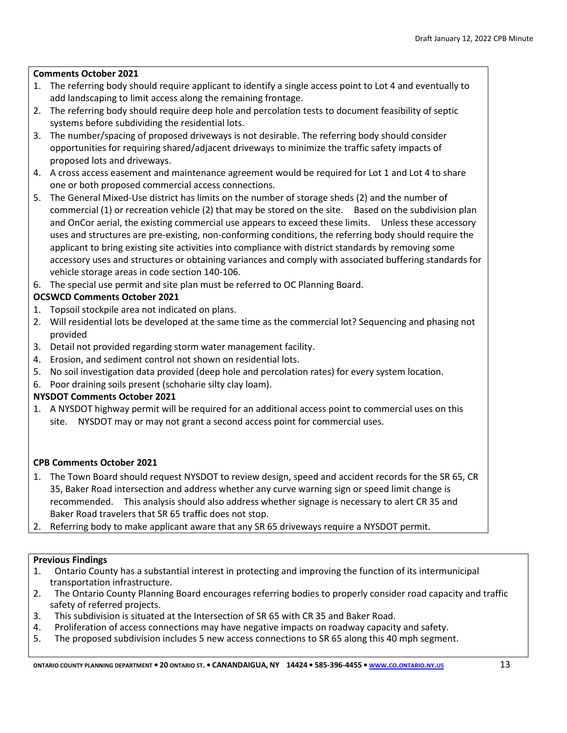# **Comments October 2021**

- 1. The referring body should require applicant to identify a single access point to Lot 4 and eventually to add landscaping to limit access along the remaining frontage.
- 2. The referring body should require deep hole and percolation tests to document feasibility of septic systems before subdividing the residential lots.
- 3. The number/spacing of proposed driveways is not desirable. The referring body should consider opportunities for requiring shared/adjacent driveways to minimize the traffic safety impacts of proposed lots and driveways.
- 4. A cross access easement and maintenance agreement would be required for Lot 1 and Lot 4 to share one or both proposed commercial access connections.
- 5. The General Mixed-Use district has limits on the number of storage sheds (2) and the number of commercial (1) or recreation vehicle (2) that may be stored on the site. Based on the subdivision plan and OnCor aerial, the existing commercial use appears to exceed these limits. Unless these accessory uses and structures are pre-existing, non-conforming conditions, the referring body should require the applicant to bring existing site activities into compliance with district standards by removing some accessory uses and structures or obtaining variances and comply with associated buffering standards for vehicle storage areas in code section 140-106.
- 6. The special use permit and site plan must be referred to OC Planning Board.

# **OCSWCD Comments October 2021**

- 1. Topsoil stockpile area not indicated on plans.
- 2. Will residential lots be developed at the same time as the commercial lot? Sequencing and phasing not provided
- 3. Detail not provided regarding storm water management facility.
- 4. Erosion, and sediment control not shown on residential lots.
- 5. No soil investigation data provided (deep hole and percolation rates) for every system location.
- 6. Poor draining soils present (schoharie silty clay loam).

# **NYSDOT Comments October 2021**

1. A NYSDOT highway permit will be required for an additional access point to commercial uses on this site. NYSDOT may or may not grant a second access point for commercial uses.

# **CPB Comments October 2021**

- 1. The Town Board should request NYSDOT to review design, speed and accident records for the SR 65, CR 35, Baker Road intersection and address whether any curve warning sign or speed limit change is recommended. This analysis should also address whether signage is necessary to alert CR 35 and Baker Road travelers that SR 65 traffic does not stop.
- 2. Referring body to make applicant aware that any SR 65 driveways require a NYSDOT permit.

# **Previous Findings**

- 1. Ontario County has a substantial interest in protecting and improving the function of its intermunicipal transportation infrastructure.
- 2. The Ontario County Planning Board encourages referring bodies to properly consider road capacity and traffic safety of referred projects.
- 3. This subdivision is situated at the Intersection of SR 65 with CR 35 and Baker Road.
- 4. Proliferation of access connections may have negative impacts on roadway capacity and safety.
- 5. The proposed subdivision includes 5 new access connections to SR 65 along this 40 mph segment.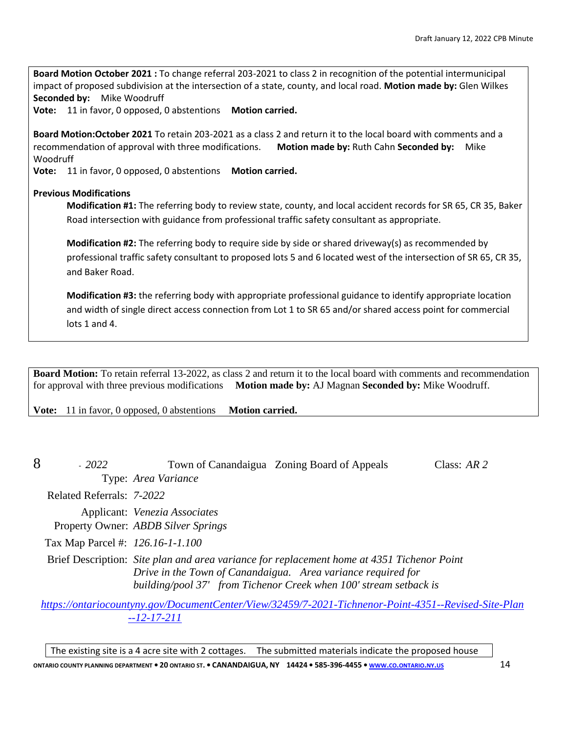**Board Motion October 2021 :** To change referral 203-2021 to class 2 in recognition of the potential intermunicipal impact of proposed subdivision at the intersection of a state, county, and local road. **Motion made by:** Glen Wilkes **Seconded by:** Mike Woodruff

**Vote:** 11 in favor, 0 opposed, 0 abstentions **Motion carried.**

**Board Motion:October 2021** To retain 203-2021 as a class 2 and return it to the local board with comments and a recommendation of approval with three modifications. **Motion made by:** Ruth Cahn **Seconded by:** Mike Woodruff

**Vote:** 11 in favor, 0 opposed, 0 abstentions **Motion carried.**

#### **Previous Modifications**

**Modification #1:** The referring body to review state, county, and local accident records for SR 65, CR 35, Baker Road intersection with guidance from professional traffic safety consultant as appropriate.

**Modification #2:** The referring body to require side by side or shared driveway(s) as recommended by professional traffic safety consultant to proposed lots 5 and 6 located west of the intersection of SR 65, CR 35, and Baker Road.

**Modification #3:** the referring body with appropriate professional guidance to identify appropriate location and width of single direct access connection from Lot 1 to SR 65 and/or shared access point for commercial lots 1 and 4.

**Board Motion:** To retain referral 13-2022, as class 2 and return it to the local board with comments and recommendation for approval with three previous modifications **Motion made by:** AJ Magnan **Seconded by:** Mike Woodruff.

**Vote:** 11 in favor, 0 opposed, 0 abstentions **Motion carried.** 

| 8 | $-2022$                          |                                                                      | Town of Canandaigua Zoning Board of Appeals                                                                                                                                                                                     | Class: $AR$ 2 |
|---|----------------------------------|----------------------------------------------------------------------|---------------------------------------------------------------------------------------------------------------------------------------------------------------------------------------------------------------------------------|---------------|
|   |                                  | Type: Area Variance                                                  |                                                                                                                                                                                                                                 |               |
|   | Related Referrals: 7-2022        |                                                                      |                                                                                                                                                                                                                                 |               |
|   |                                  | Applicant: Venezia Associates<br>Property Owner: ABDB Silver Springs |                                                                                                                                                                                                                                 |               |
|   | Tax Map Parcel #: 126.16-1-1.100 |                                                                      |                                                                                                                                                                                                                                 |               |
|   |                                  |                                                                      | Brief Description: Site plan and area variance for replacement home at 4351 Tichenor Point<br>Drive in the Town of Canandaigua. Area variance required for<br>building/pool 37' from Tichenor Creek when 100' stream setback is |               |
|   |                                  |                                                                      | https://ontariocountyny.gov/DocumentCenter/View/32459/7-2021-Tichnenor-Point-4351--Revised-Site-Plan                                                                                                                            |               |

*[--12-17-211](https://ontariocountyny.gov/DocumentCenter/View/32459/7-2021-Tichnenor-Point-4351--Revised-Site-Plan--12-17-211)*

The existing site is a 4 acre site with 2 cottages. The submitted materials indicate the proposed house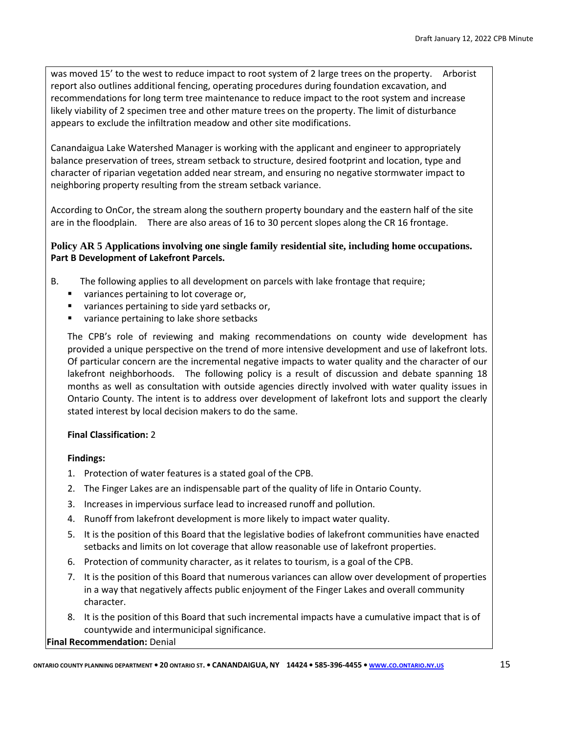was moved 15' to the west to reduce impact to root system of 2 large trees on the property. Arborist report also outlines additional fencing, operating procedures during foundation excavation, and recommendations for long term tree maintenance to reduce impact to the root system and increase likely viability of 2 specimen tree and other mature trees on the property. The limit of disturbance appears to exclude the infiltration meadow and other site modifications.

Canandaigua Lake Watershed Manager is working with the applicant and engineer to appropriately balance preservation of trees, stream setback to structure, desired footprint and location, type and character of riparian vegetation added near stream, and ensuring no negative stormwater impact to neighboring property resulting from the stream setback variance.

According to OnCor, the stream along the southern property boundary and the eastern half of the site are in the floodplain. There are also areas of 16 to 30 percent slopes along the CR 16 frontage.

# **Policy AR 5 Applications involving one single family residential site, including home occupations. Part B Development of Lakefront Parcels.**

- B. The following applies to all development on parcels with lake frontage that require;
	- variances pertaining to lot coverage or,
	- variances pertaining to side yard setbacks or,
	- variance pertaining to lake shore setbacks

The CPB's role of reviewing and making recommendations on county wide development has provided a unique perspective on the trend of more intensive development and use of lakefront lots. Of particular concern are the incremental negative impacts to water quality and the character of our lakefront neighborhoods. The following policy is a result of discussion and debate spanning 18 months as well as consultation with outside agencies directly involved with water quality issues in Ontario County. The intent is to address over development of lakefront lots and support the clearly stated interest by local decision makers to do the same.

# **Final Classification:** 2

# **Findings:**

- 1. Protection of water features is a stated goal of the CPB.
- 2. The Finger Lakes are an indispensable part of the quality of life in Ontario County.
- 3. Increases in impervious surface lead to increased runoff and pollution.
- 4. Runoff from lakefront development is more likely to impact water quality.
- 5. It is the position of this Board that the legislative bodies of lakefront communities have enacted setbacks and limits on lot coverage that allow reasonable use of lakefront properties.
- 6. Protection of community character, as it relates to tourism, is a goal of the CPB.
- 7. It is the position of this Board that numerous variances can allow over development of properties in a way that negatively affects public enjoyment of the Finger Lakes and overall community character.
- 8. It is the position of this Board that such incremental impacts have a cumulative impact that is of countywide and intermunicipal significance.

**Final Recommendation:** Denial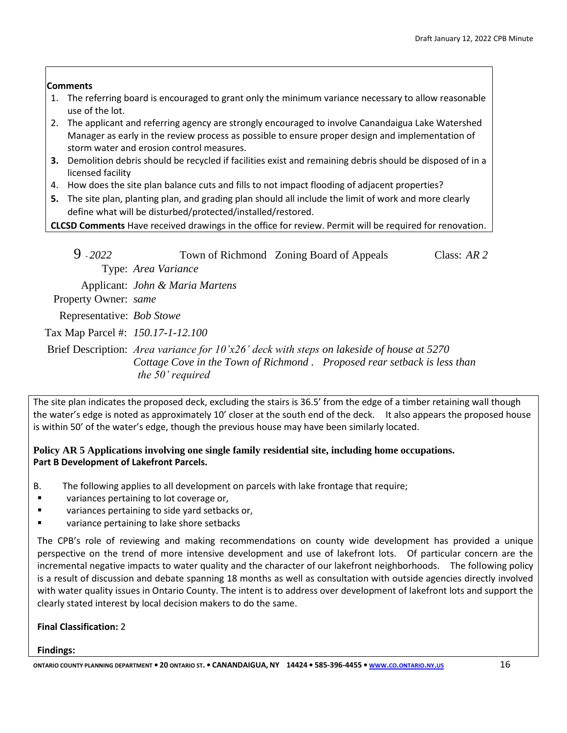# **Comments**

- 1. The referring board is encouraged to grant only the minimum variance necessary to allow reasonable use of the lot.
- 2. The applicant and referring agency are strongly encouraged to involve Canandaigua Lake Watershed Manager as early in the review process as possible to ensure proper design and implementation of storm water and erosion control measures.
- **3.** Demolition debris should be recycled if facilities exist and remaining debris should be disposed of in a licensed facility
- 4. How does the site plan balance cuts and fills to not impact flooding of adjacent properties?
- **5.** The site plan, planting plan, and grading plan should all include the limit of work and more clearly define what will be disturbed/protected/installed/restored.

**CLCSD Comments** Have received drawings in the office for review. Permit will be required for renovation.

| $9 - 2022$                        |                                 | Town of Richmond Zoning Board of Appeals                                                                                                                                | Class: $AR$ 2 |
|-----------------------------------|---------------------------------|-------------------------------------------------------------------------------------------------------------------------------------------------------------------------|---------------|
|                                   | Type: Area Variance             |                                                                                                                                                                         |               |
|                                   | Applicant: John & Maria Martens |                                                                                                                                                                         |               |
| Property Owner: same              |                                 |                                                                                                                                                                         |               |
| Representative: Bob Stowe         |                                 |                                                                                                                                                                         |               |
| Tax Map Parcel #: 150.17-1-12.100 |                                 |                                                                                                                                                                         |               |
|                                   | the 50' required                | Brief Description: Area variance for $10'x26'$ deck with steps on lakeside of house at 5270<br>Cottage Cove in the Town of Richmond. Proposed rear setback is less than |               |

The site plan indicates the proposed deck, excluding the stairs is 36.5' from the edge of a timber retaining wall though the water's edge is noted as approximately 10' closer at the south end of the deck. It also appears the proposed house is within 50' of the water's edge, though the previous house may have been similarly located.

# **Policy AR 5 Applications involving one single family residential site, including home occupations. Part B Development of Lakefront Parcels.**

- B. The following applies to all development on parcels with lake frontage that require;
- variances pertaining to lot coverage or,
- variances pertaining to side yard setbacks or,
- variance pertaining to lake shore setbacks

The CPB's role of reviewing and making recommendations on county wide development has provided a unique perspective on the trend of more intensive development and use of lakefront lots. Of particular concern are the incremental negative impacts to water quality and the character of our lakefront neighborhoods. The following policy is a result of discussion and debate spanning 18 months as well as consultation with outside agencies directly involved with water quality issues in Ontario County. The intent is to address over development of lakefront lots and support the clearly stated interest by local decision makers to do the same.

# **Final Classification:** 2

# **Findings:**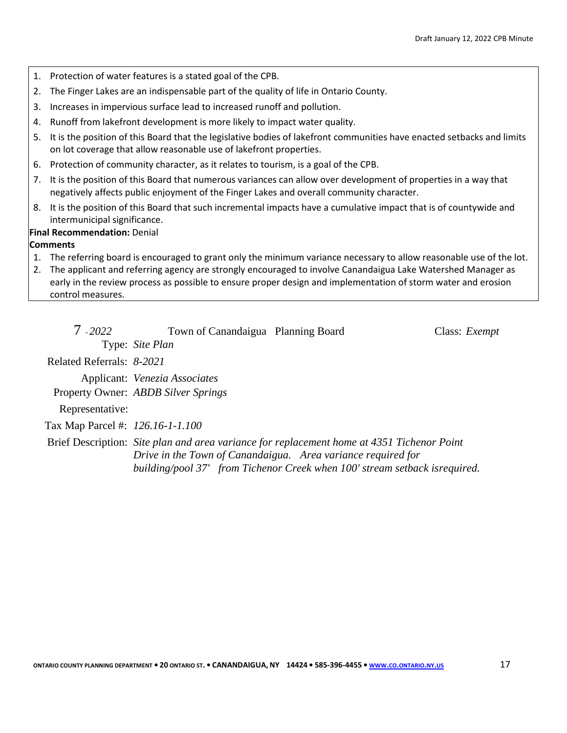- 1. Protection of water features is a stated goal of the CPB.
- 2. The Finger Lakes are an indispensable part of the quality of life in Ontario County.
- 3. Increases in impervious surface lead to increased runoff and pollution.
- 4. Runoff from lakefront development is more likely to impact water quality.
- 5. It is the position of this Board that the legislative bodies of lakefront communities have enacted setbacks and limits on lot coverage that allow reasonable use of lakefront properties.
- 6. Protection of community character, as it relates to tourism, is a goal of the CPB.
- 7. It is the position of this Board that numerous variances can allow over development of properties in a way that negatively affects public enjoyment of the Finger Lakes and overall community character.
- 8. It is the position of this Board that such incremental impacts have a cumulative impact that is of countywide and intermunicipal significance.

#### **Final Recommendation:** Denial

# **Comments**

- 1. The referring board is encouraged to grant only the minimum variance necessary to allow reasonable use of the lot.
- 2. The applicant and referring agency are strongly encouraged to involve Canandaigua Lake Watershed Manager as early in the review process as possible to ensure proper design and implementation of storm water and erosion control measures.

| $7 - 2022$                       | Town of Canandaigua Planning Board  |                                                                                            | Class: <i>Exempt</i> |
|----------------------------------|-------------------------------------|--------------------------------------------------------------------------------------------|----------------------|
|                                  | Type: Site Plan                     |                                                                                            |                      |
| Related Referrals: 8-2021        |                                     |                                                                                            |                      |
|                                  | Applicant: Venezia Associates       |                                                                                            |                      |
|                                  | Property Owner: ABDB Silver Springs |                                                                                            |                      |
| Representative:                  |                                     |                                                                                            |                      |
| Tax Map Parcel #: 126.16-1-1.100 |                                     |                                                                                            |                      |
|                                  |                                     | Brief Description: Site plan and area variance for replacement home at 4351 Tichenor Point |                      |
|                                  |                                     | Drive in the Town of Canandaigua. Area variance required for                               |                      |
|                                  |                                     | building/pool 37' from Tichenor Creek when 100' stream setback isrequired.                 |                      |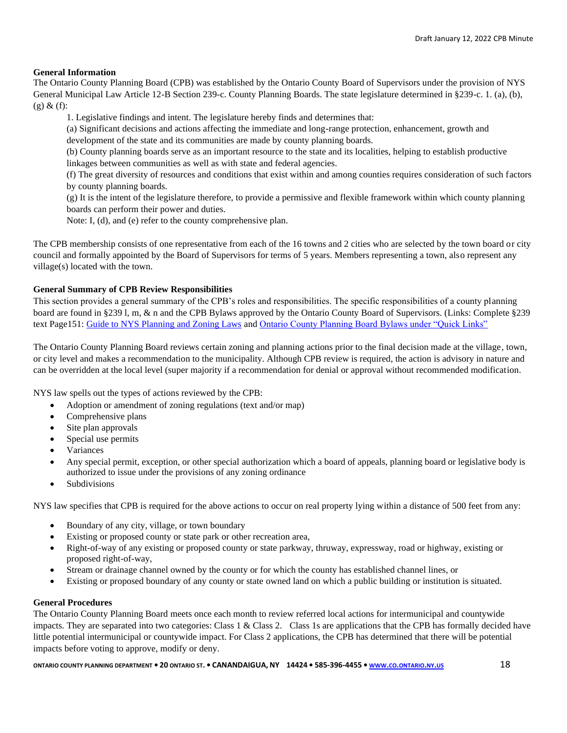#### **General Information**

The Ontario County Planning Board (CPB) was established by the Ontario County Board of Supervisors under the provision of NYS General Municipal Law Article 12-B Section 239-c. County Planning Boards. The state legislature determined in §239-c. 1. (a), (b),  $(g)$  &  $(f)$ :

1. Legislative findings and intent. The legislature hereby finds and determines that:

(a) Significant decisions and actions affecting the immediate and long-range protection, enhancement, growth and development of the state and its communities are made by county planning boards.

(b) County planning boards serve as an important resource to the state and its localities, helping to establish productive linkages between communities as well as with state and federal agencies.

(f) The great diversity of resources and conditions that exist within and among counties requires consideration of such factors by county planning boards.

(g) It is the intent of the legislature therefore, to provide a permissive and flexible framework within which county planning boards can perform their power and duties.

Note: I, (d), and (e) refer to the county comprehensive plan.

The CPB membership consists of one representative from each of the 16 towns and 2 cities who are selected by the town board or city council and formally appointed by the Board of Supervisors for terms of 5 years. Members representing a town, also represent any village(s) located with the town.

#### **General Summary of CPB Review Responsibilities**

This section provides a general summary of the CPB's roles and responsibilities. The specific responsibilities of a county planning board are found in §239 l, m, & n and the CPB Bylaws approved by the Ontario County Board of Supervisors. (Links: Complete §239 text Page151: [Guide to NYS Planning and Zoning Laws](http://www.dos.ny.gov/lg/publications/Guide_to_Planning_and_Zoning_Laws.pdf) an[d Ontario County Planning Board Bylaws under "Quick Links"](http://www.co.ontario.ny.us/index.aspx?nid=516)

The Ontario County Planning Board reviews certain zoning and planning actions prior to the final decision made at the village, town, or city level and makes a recommendation to the municipality. Although CPB review is required, the action is advisory in nature and can be overridden at the local level (super majority if a recommendation for denial or approval without recommended modification.

NYS law spells out the types of actions reviewed by the CPB:

- Adoption or amendment of zoning regulations (text and/or map)
- Comprehensive plans
- Site plan approvals
- Special use permits
- Variances
- Any special permit, exception, or other special authorization which a board of appeals, planning board or legislative body is authorized to issue under the provisions of any zoning ordinance
- **Subdivisions**

NYS law specifies that CPB is required for the above actions to occur on real property lying within a distance of 500 feet from any:

- Boundary of any city, village, or town boundary
- Existing or proposed county or state park or other recreation area,
- Right-of-way of any existing or proposed county or state parkway, thruway, expressway, road or highway, existing or proposed right-of-way,
- Stream or drainage channel owned by the county or for which the county has established channel lines, or
- Existing or proposed boundary of any county or state owned land on which a public building or institution is situated.

#### **General Procedures**

The Ontario County Planning Board meets once each month to review referred local actions for intermunicipal and countywide impacts. They are separated into two categories: Class 1 & Class 2. Class 1s are applications that the CPB has formally decided have little potential intermunicipal or countywide impact. For Class 2 applications, the CPB has determined that there will be potential impacts before voting to approve, modify or deny.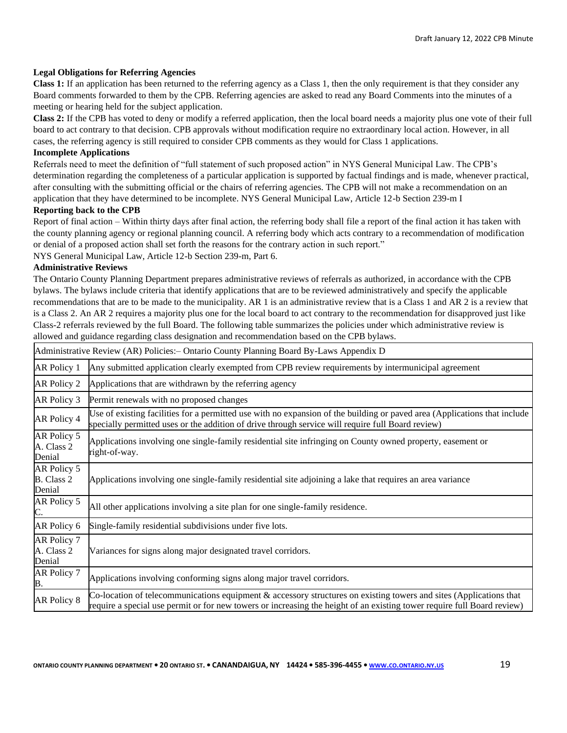#### **Legal Obligations for Referring Agencies**

**Class 1:** If an application has been returned to the referring agency as a Class 1, then the only requirement is that they consider any Board comments forwarded to them by the CPB. Referring agencies are asked to read any Board Comments into the minutes of a meeting or hearing held for the subject application.

**Class 2:** If the CPB has voted to deny or modify a referred application, then the local board needs a majority plus one vote of their full board to act contrary to that decision. CPB approvals without modification require no extraordinary local action. However, in all cases, the referring agency is still required to consider CPB comments as they would for Class 1 applications. **Incomplete Applications** 

Referrals need to meet the definition of "full statement of such proposed action" in NYS General Municipal Law. The CPB's determination regarding the completeness of a particular application is supported by factual findings and is made, whenever practical, after consulting with the submitting official or the chairs of referring agencies. The CPB will not make a recommendation on an application that they have determined to be incomplete. NYS General Municipal Law, Article 12-b Section 239-m I

#### **Reporting back to the CPB**

Report of final action – Within thirty days after final action, the referring body shall file a report of the final action it has taken with the county planning agency or regional planning council. A referring body which acts contrary to a recommendation of modification or denial of a proposed action shall set forth the reasons for the contrary action in such report."

NYS General Municipal Law, Article 12-b Section 239-m, Part 6.

#### **Administrative Reviews**

The Ontario County Planning Department prepares administrative reviews of referrals as authorized, in accordance with the CPB bylaws. The bylaws include criteria that identify applications that are to be reviewed administratively and specify the applicable recommendations that are to be made to the municipality. AR 1 is an administrative review that is a Class 1 and AR 2 is a review that is a Class 2. An AR 2 requires a majority plus one for the local board to act contrary to the recommendation for disapproved just like Class-2 referrals reviewed by the full Board. The following table summarizes the policies under which administrative review is allowed and guidance regarding class designation and recommendation based on the CPB bylaws.

| Administrative Review (AR) Policies: - Ontario County Planning Board By-Laws Appendix D |                                                                                                                                                                                                                                               |
|-----------------------------------------------------------------------------------------|-----------------------------------------------------------------------------------------------------------------------------------------------------------------------------------------------------------------------------------------------|
| AR Policy 1                                                                             | Any submitted application clearly exempted from CPB review requirements by intermunicipal agreement                                                                                                                                           |
| AR Policy 2                                                                             | Applications that are withdrawn by the referring agency                                                                                                                                                                                       |
| AR Policy 3                                                                             | Permit renewals with no proposed changes                                                                                                                                                                                                      |
| AR Policy 4                                                                             | Use of existing facilities for a permitted use with no expansion of the building or paved area (Applications that include<br>specially permitted uses or the addition of drive through service will require full Board review)                |
| AR Policy 5<br>A. Class 2<br>Denial                                                     | Applications involving one single-family residential site infringing on County owned property, easement or<br>right-of-way.                                                                                                                   |
| AR Policy 5<br><b>B.</b> Class 2<br>Denial                                              | Applications involving one single-family residential site adjoining a lake that requires an area variance                                                                                                                                     |
| AR Policy 5<br>C.                                                                       | All other applications involving a site plan for one single-family residence.                                                                                                                                                                 |
| AR Policy 6                                                                             | Single-family residential subdivisions under five lots.                                                                                                                                                                                       |
| AR Policy 7<br>A. Class 2<br>Denial                                                     | Variances for signs along major designated travel corridors.                                                                                                                                                                                  |
| AR Policy 7<br>B.                                                                       | Applications involving conforming signs along major travel corridors.                                                                                                                                                                         |
| AR Policy 8                                                                             | Co-location of telecommunications equipment & accessory structures on existing towers and sites (Applications that<br>require a special use permit or for new towers or increasing the height of an existing tower require full Board review) |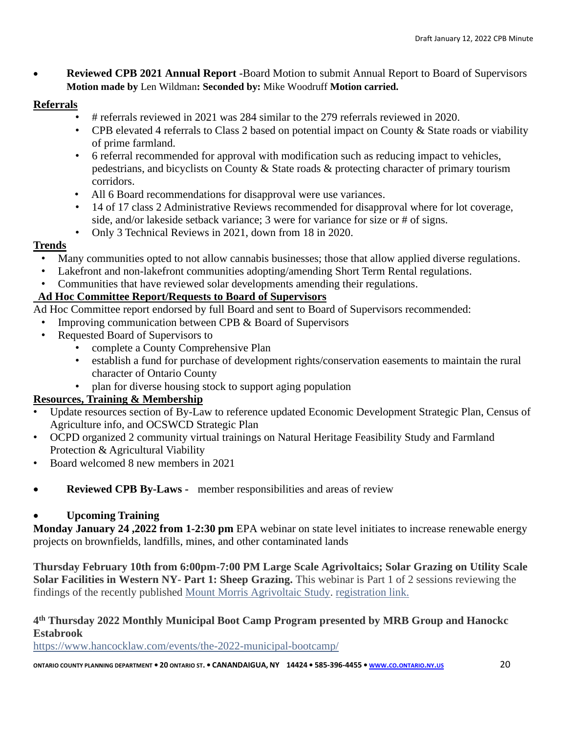• **Reviewed CPB 2021 Annual Report** *-*Board Motion to submit Annual Report to Board of Supervisors **Motion made by** Len Wildman**: Seconded by:** Mike Woodruff **Motion carried.**

# **Referrals**

- # referrals reviewed in 2021 was 284 similar to the 279 referrals reviewed in 2020.
- CPB elevated 4 referrals to Class 2 based on potential impact on County & State roads or viability of prime farmland.
- 6 referral recommended for approval with modification such as reducing impact to vehicles, pedestrians, and bicyclists on County & State roads & protecting character of primary tourism corridors.
- All 6 Board recommendations for disapproval were use variances.
- 14 of 17 class 2 Administrative Reviews recommended for disapproval where for lot coverage, side, and/or lakeside setback variance; 3 were for variance for size or # of signs.
- Only 3 Technical Reviews in 2021, down from 18 in 2020.

# **Trends**

- Many communities opted to not allow cannabis businesses; those that allow applied diverse regulations.
- Lakefront and non-lakefront communities adopting/amending Short Term Rental regulations.
- Communities that have reviewed solar developments amending their regulations.

# **Ad Hoc Committee Report/Requests to Board of Supervisors**

Ad Hoc Committee report endorsed by full Board and sent to Board of Supervisors recommended:

- Improving communication between CPB & Board of Supervisors
- Requested Board of Supervisors to
	- complete a County Comprehensive Plan
	- establish a fund for purchase of development rights/conservation easements to maintain the rural character of Ontario County
	- plan for diverse housing stock to support aging population

# **Resources, Training & Membership**

- Update resources section of By-Law to reference updated Economic Development Strategic Plan, Census of Agriculture info, and OCSWCD Strategic Plan
- OCPD organized 2 community virtual trainings on Natural Heritage Feasibility Study and Farmland Protection & Agricultural Viability
- Board welcomed 8 new members in 2021
- **Reviewed CPB By-Laws -** member responsibilities and areas of review

# • **Upcoming Training**

**Monday January 24 ,2022 from 1-2:30 pm** EPA webinar on state level initiates to increase renewable energy projects on brownfields, landfills, mines, and other contaminated lands

**Thursday February 10th from 6:00pm-7:00 PM Large Scale Agrivoltaics; Solar Grazing on Utility Scale Solar Facilities in Western NY- Part 1: Sheep Grazing.** This webinar is Part 1 of 2 sessions reviewing the findings of the recently published [Mount Morris Agrivoltaic Study.](https://linkprotect.cudasvc.com/url?a=https%3a%2f%2fusesusa.org%2fwp-content%2fuploads%2f2021%2f11%2fMountMorris-AgrivoltaicReport2021-WEB.pdf&c=E,1,rrv_x4p8IZytONfCJRNtLF_2wiYfAFRpo1SGx0Ds3w-14Am5hx7y-kVRuPxkXleYX56L6BDM-Gumr75C2Sen6Uxiuwz4Ga9cSdbnXKbXQIrTBrDr&typo=1) [registration link.](https://us02web.zoom.us/webinar/register/WN_4WzkmTXZQyuCW35ZvQxg-w)

# **4 th Thursday 2022 Monthly Municipal Boot Camp Program presented by MRB Group and Hanockc Estabrook**

<https://www.hancocklaw.com/events/the-2022-municipal-bootcamp/>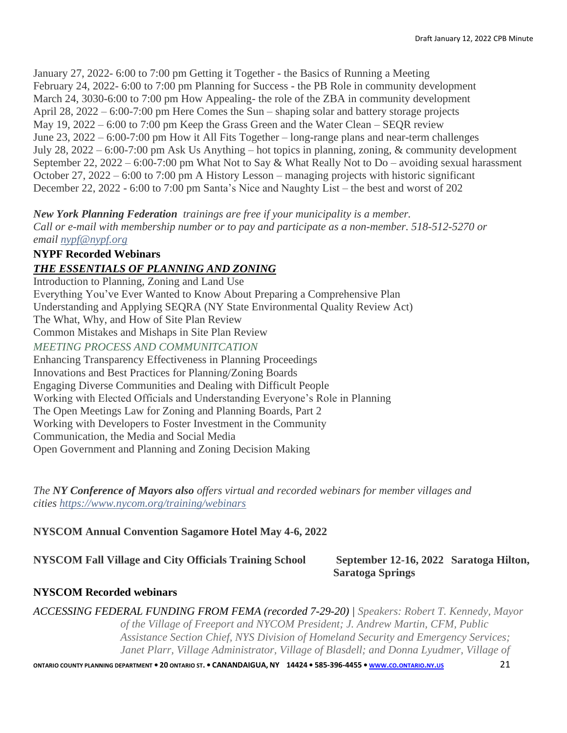January 27, 2022- 6:00 to 7:00 pm Getting it Together - the Basics of Running a Meeting February 24, 2022- 6:00 to 7:00 pm Planning for Success - the PB Role in community development March 24, 3030-6:00 to 7:00 pm How Appealing- the role of the ZBA in community development April 28, 2022 – 6:00-7:00 pm Here Comes the Sun – shaping solar and battery storage projects May 19, 2022 – 6:00 to 7:00 pm Keep the Grass Green and the Water Clean – SEQR review June 23, 2022 – 6:00-7:00 pm How it All Fits Together – long-range plans and near-term challenges July 28, 2022 – 6:00-7:00 pm Ask Us Anything – hot topics in planning, zoning, & community development September 22, 2022 – 6:00-7:00 pm What Not to Say & What Really Not to Do – avoiding sexual harassment October 27, 2022 – 6:00 to 7:00 pm A History Lesson – managing projects with historic significant December 22, 2022 - 6:00 to 7:00 pm Santa's Nice and Naughty List – the best and worst of 202

*New York Planning Federation trainings are free if your municipality is a member. Call or e-mail with membership number or to pay and participate as a non-member. 518-512-5270 or email [nypf@nypf.org](mailto:nypf@nypf.org)*

# **NYPF Recorded Webinars**

# *THE ESSENTIALS OF PLANNING AND ZONING*

Introduction to Planning, Zoning and Land Use Everything You've Ever Wanted to Know About Preparing a Comprehensive Plan Understanding and Applying SEQRA (NY State Environmental Quality Review Act) The What, Why, and How of Site Plan Review Common Mistakes and Mishaps in Site Plan Review *MEETING PROCESS AND COMMUNITCATION* Enhancing Transparency Effectiveness in Planning Proceedings Innovations and Best Practices for Planning/Zoning Boards Engaging Diverse Communities and Dealing with Difficult People Working with Elected Officials and Understanding Everyone's Role in Planning The Open Meetings Law for Zoning and Planning Boards, Part 2 Working with Developers to Foster Investment in the Community Communication, the Media and Social Media Open Government and Planning and Zoning Decision Making

*The NY Conference of Mayors also offers virtual and recorded webinars for member villages and cities <https://www.nycom.org/training/webinars>*

# **NYSCOM Annual Convention Sagamore Hotel May 4-6, 2022**

**NYSCOM Fall Village and City Officials Training School September 12-16, 2022 Saratoga Hilton,** 

# **Saratoga Springs**

# **NYSCOM Recorded webinars**

*ACCESSING FEDERAL FUNDING FROM FEMA (recorded 7-29-20) | Speakers: Robert T. Kennedy, Mayor of the Village of Freeport and NYCOM President; J. Andrew Martin, CFM, Public Assistance Section Chief, NYS Division of Homeland Security and Emergency Services; Janet Plarr, Village Administrator, Village of Blasdell; and Donna Lyudmer, Village of*